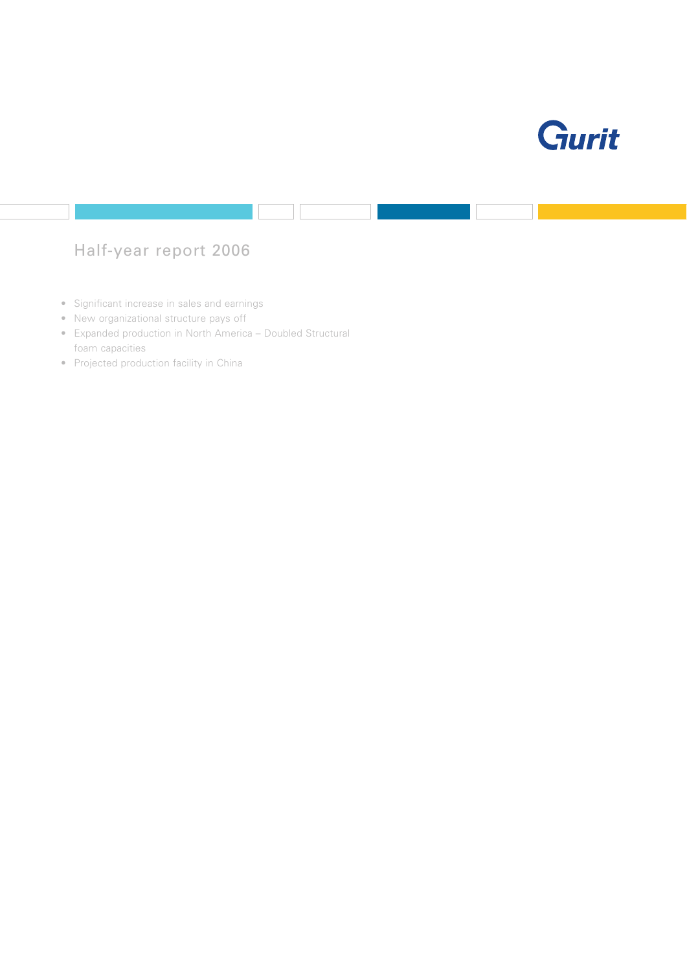

# Half-year report 2006

- Significant increase in sales and earnings
- New organizational structure pays off
- Expanded production in North America Doubled Structural foam capacities
- Projected production facility in China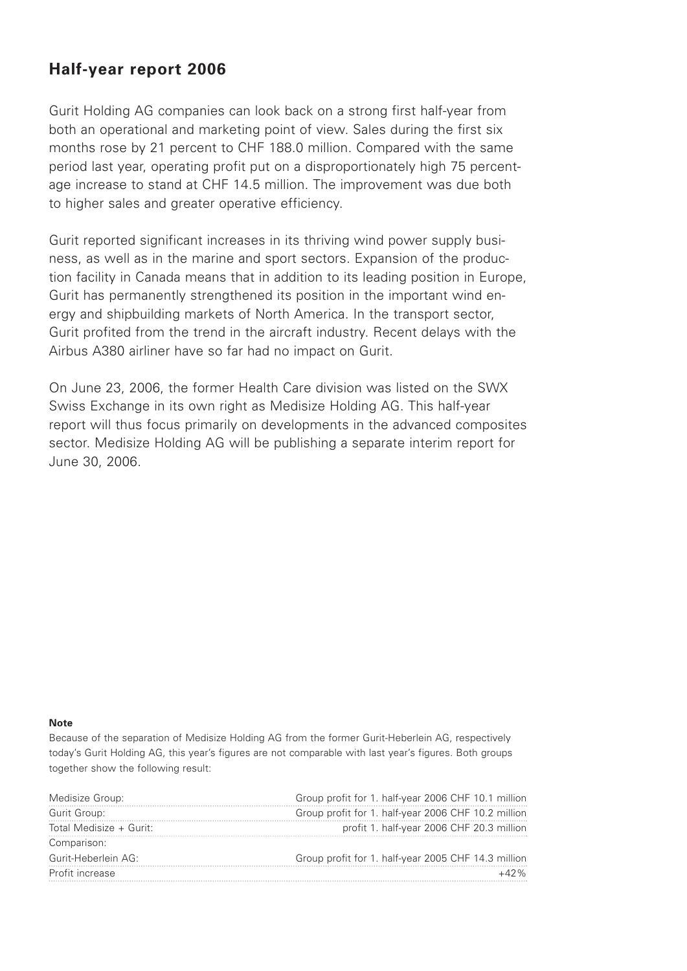## **Half-year report 2006**

Gurit Holding AG companies can look back on a strong first half-year from both an operational and marketing point of view. Sales during the first six months rose by 21 percent to CHF 188.0 million. Compared with the same period last year, operating profit put on a disproportionately high 75 percentage increase to stand at CHF 14.5 million. The improvement was due both to higher sales and greater operative efficiency.

Gurit reported significant increases in its thriving wind power supply business, as well as in the marine and sport sectors. Expansion of the production facility in Canada means that in addition to its leading position in Europe, Gurit has permanently strengthened its position in the important wind energy and shipbuilding markets of North America. In the transport sector, Gurit profited from the trend in the aircraft industry. Recent delays with the Airbus A380 airliner have so far had no impact on Gurit.

On June 23, 2006, the former Health Care division was listed on the SWX Swiss Exchange in its own right as Medisize Holding AG. This half-year report will thus focus primarily on developments in the advanced composites sector. Medisize Holding AG will be publishing a separate interim report for June 30, 2006.

### **Note**

Because of the separation of Medisize Holding AG from the former Gurit-Heberlein AG, respectively today's Gurit Holding AG, this year's figures are not comparable with last year's figures. Both groups together show the following result:

| Group profit for 1. half-year 2006 CHF 10.1 million |
|-----------------------------------------------------|
| Group profit for 1. half-year 2006 CHF 10.2 million |
| profit 1. half-year 2006 CHF 20.3 million           |
|                                                     |
| Group profit for 1. half-year 2005 CHF 14.3 million |
|                                                     |
|                                                     |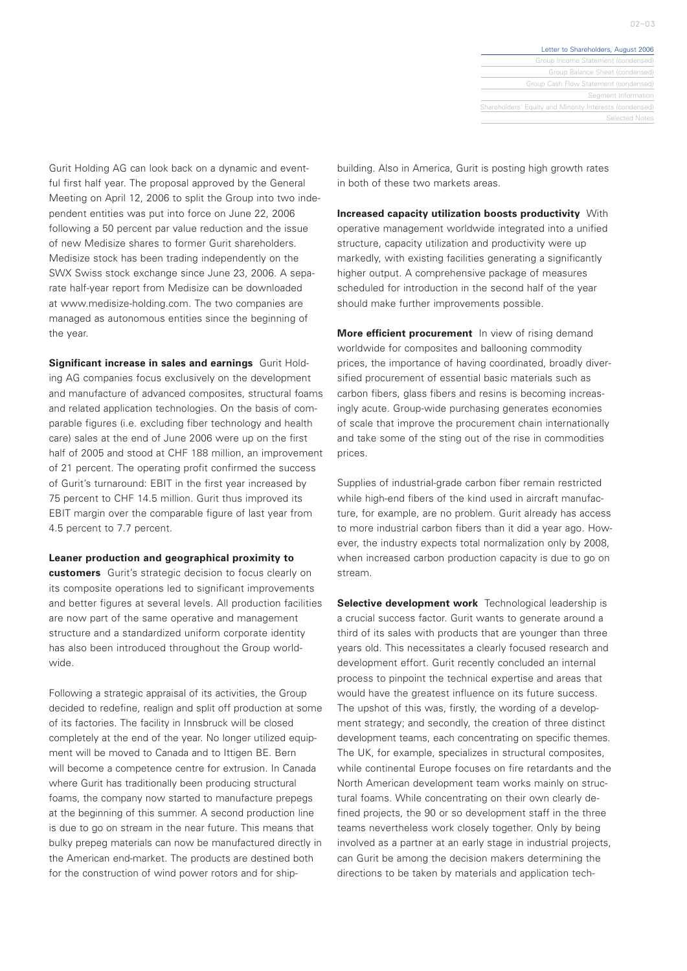Letter to Shareholders, August 2006 Group Income Statement (cord Group Balance Sheet (co Group Cash Flow Statement (condensed) Segment Information Shareholders' Equity and Minority Interests (condensed) Selected Notes

Gurit Holding AG can look back on a dynamic and eventful first half year. The proposal approved by the General Meeting on April 12, 2006 to split the Group into two independent entities was put into force on June 22, 2006 following a 50 percent par value reduction and the issue of new Medisize shares to former Gurit shareholders. Medisize stock has been trading independently on the SWX Swiss stock exchange since June 23, 2006. A separate half-year report from Medisize can be downloaded at www.medisize-holding.com. The two companies are managed as autonomous entities since the beginning of the year.

**Significant increase in sales and earnings** Gurit Holding AG companies focus exclusively on the development and manufacture of advanced composites, structural foams and related application technologies. On the basis of comparable figures (i.e. excluding fiber technology and health care) sales at the end of June 2006 were up on the first half of 2005 and stood at CHF 188 million, an improvement of 21 percent. The operating profit confirmed the success of Gurit's turnaround: EBIT in the first year increased by 75 percent to CHF 14.5 million. Gurit thus improved its EBIT margin over the comparable figure of last year from 4.5 percent to 7.7 percent.

**Leaner production and geographical proximity to** 

**customers** Gurit's strategic decision to focus clearly on its composite operations led to significant improvements and better figures at several levels. All production facilities are now part of the same operative and management structure and a standardized uniform corporate identity has also been introduced throughout the Group worldwide.

Following a strategic appraisal of its activities, the Group decided to redefine, realign and split off production at some of its factories. The facility in Innsbruck will be closed completely at the end of the year. No longer utilized equipment will be moved to Canada and to Ittigen BE. Bern will become a competence centre for extrusion. In Canada where Gurit has traditionally been producing structural foams, the company now started to manufacture prepegs at the beginning of this summer. A second production line is due to go on stream in the near future. This means that bulky prepeg materials can now be manufactured directly in the American end-market. The products are destined both for the construction of wind power rotors and for shipbuilding. Also in America, Gurit is posting high growth rates in both of these two markets areas.

**Increased capacity utilization boosts productivity** With operative management worldwide integrated into a unified structure, capacity utilization and productivity were up markedly, with existing facilities generating a significantly higher output. A comprehensive package of measures scheduled for introduction in the second half of the year should make further improvements possible.

**More efficient procurement** In view of rising demand worldwide for composites and ballooning commodity prices, the importance of having coordinated, broadly diversified procurement of essential basic materials such as carbon fibers, glass fibers and resins is becoming increasingly acute. Group-wide purchasing generates economies of scale that improve the procurement chain internationally and take some of the sting out of the rise in commodities prices.

Supplies of industrial-grade carbon fiber remain restricted while high-end fibers of the kind used in aircraft manufacture, for example, are no problem. Gurit already has access to more industrial carbon fibers than it did a year ago. However, the industry expects total normalization only by 2008, when increased carbon production capacity is due to go on stream.

**Selective development work** Technological leadership is a crucial success factor. Gurit wants to generate around a third of its sales with products that are younger than three years old. This necessitates a clearly focused research and development effort. Gurit recently concluded an internal process to pinpoint the technical expertise and areas that would have the greatest influence on its future success. The upshot of this was, firstly, the wording of a development strategy; and secondly, the creation of three distinct development teams, each concentrating on specific themes. The UK, for example, specializes in structural composites, while continental Europe focuses on fire retardants and the North American development team works mainly on structural foams. While concentrating on their own clearly defined projects, the 90 or so development staff in the three teams nevertheless work closely together. Only by being involved as a partner at an early stage in industrial projects, can Gurit be among the decision makers determining the directions to be taken by materials and application tech-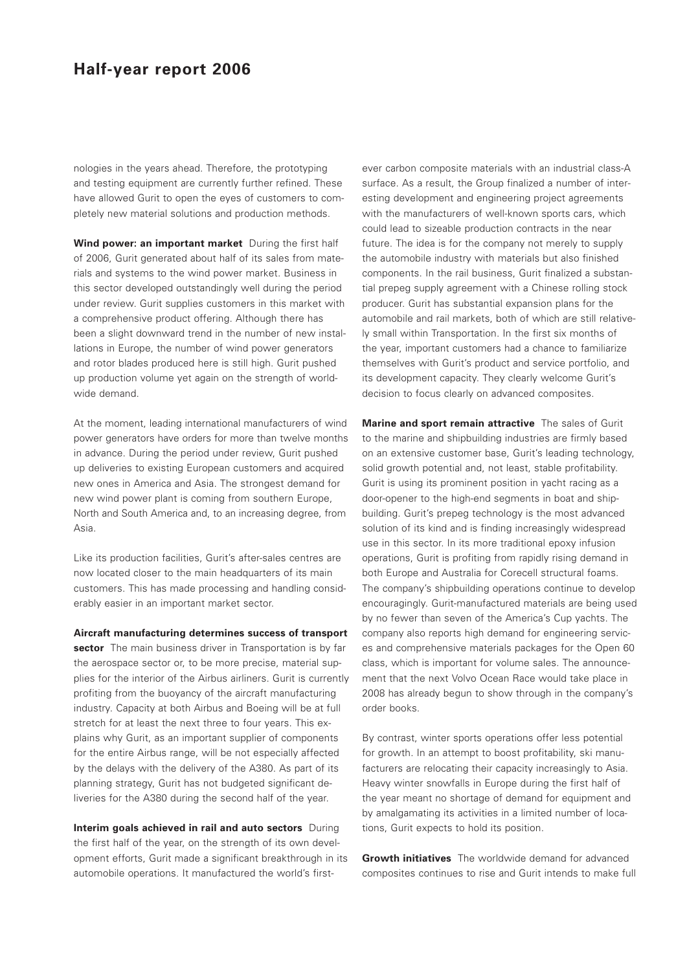### **Half-year report 2006**

nologies in the years ahead. Therefore, the prototyping and testing equipment are currently further refined. These have allowed Gurit to open the eyes of customers to completely new material solutions and production methods.

**Wind power: an important market** During the first half of 2006, Gurit generated about half of its sales from materials and systems to the wind power market. Business in this sector developed outstandingly well during the period under review. Gurit supplies customers in this market with a comprehensive product offering. Although there has been a slight downward trend in the number of new installations in Europe, the number of wind power generators and rotor blades produced here is still high. Gurit pushed up production volume yet again on the strength of worldwide demand.

At the moment, leading international manufacturers of wind power generators have orders for more than twelve months in advance. During the period under review, Gurit pushed up deliveries to existing European customers and acquired new ones in America and Asia. The strongest demand for new wind power plant is coming from southern Europe, North and South America and, to an increasing degree, from Asia.

Like its production facilities, Gurit's after-sales centres are now located closer to the main headquarters of its main customers. This has made processing and handling considerably easier in an important market sector.

**Aircraft manufacturing determines success of transport**

**sector** The main business driver in Transportation is by far the aerospace sector or, to be more precise, material supplies for the interior of the Airbus airliners. Gurit is currently profiting from the buoyancy of the aircraft manufacturing industry. Capacity at both Airbus and Boeing will be at full stretch for at least the next three to four years. This explains why Gurit, as an important supplier of components for the entire Airbus range, will be not especially affected by the delays with the delivery of the A380. As part of its planning strategy, Gurit has not budgeted significant deliveries for the A380 during the second half of the year.

**Interim goals achieved in rail and auto sectors** During the first half of the year, on the strength of its own development efforts, Gurit made a significant breakthrough in its automobile operations. It manufactured the world's firstever carbon composite materials with an industrial class-A surface. As a result, the Group finalized a number of interesting development and engineering project agreements with the manufacturers of well-known sports cars, which could lead to sizeable production contracts in the near future. The idea is for the company not merely to supply the automobile industry with materials but also finished components. In the rail business, Gurit finalized a substantial prepeg supply agreement with a Chinese rolling stock producer. Gurit has substantial expansion plans for the automobile and rail markets, both of which are still relatively small within Transportation. In the first six months of the year, important customers had a chance to familiarize themselves with Gurit's product and service portfolio, and its development capacity. They clearly welcome Gurit's decision to focus clearly on advanced composites.

**Marine and sport remain attractive** The sales of Gurit to the marine and shipbuilding industries are firmly based on an extensive customer base, Gurit's leading technology, solid growth potential and, not least, stable profitability. Gurit is using its prominent position in yacht racing as a door-opener to the high-end segments in boat and shipbuilding. Gurit's prepeg technology is the most advanced solution of its kind and is finding increasingly widespread use in this sector. In its more traditional epoxy infusion operations, Gurit is profiting from rapidly rising demand in both Europe and Australia for Corecell structural foams. The company's shipbuilding operations continue to develop encouragingly. Gurit-manufactured materials are being used by no fewer than seven of the America's Cup yachts. The company also reports high demand for engineering services and comprehensive materials packages for the Open 60 class, which is important for volume sales. The announcement that the next Volvo Ocean Race would take place in 2008 has already begun to show through in the company's order books.

By contrast, winter sports operations offer less potential for growth. In an attempt to boost profitability, ski manufacturers are relocating their capacity increasingly to Asia. Heavy winter snowfalls in Europe during the first half of the year meant no shortage of demand for equipment and by amalgamating its activities in a limited number of locations, Gurit expects to hold its position.

**Growth initiatives** The worldwide demand for advanced composites continues to rise and Gurit intends to make full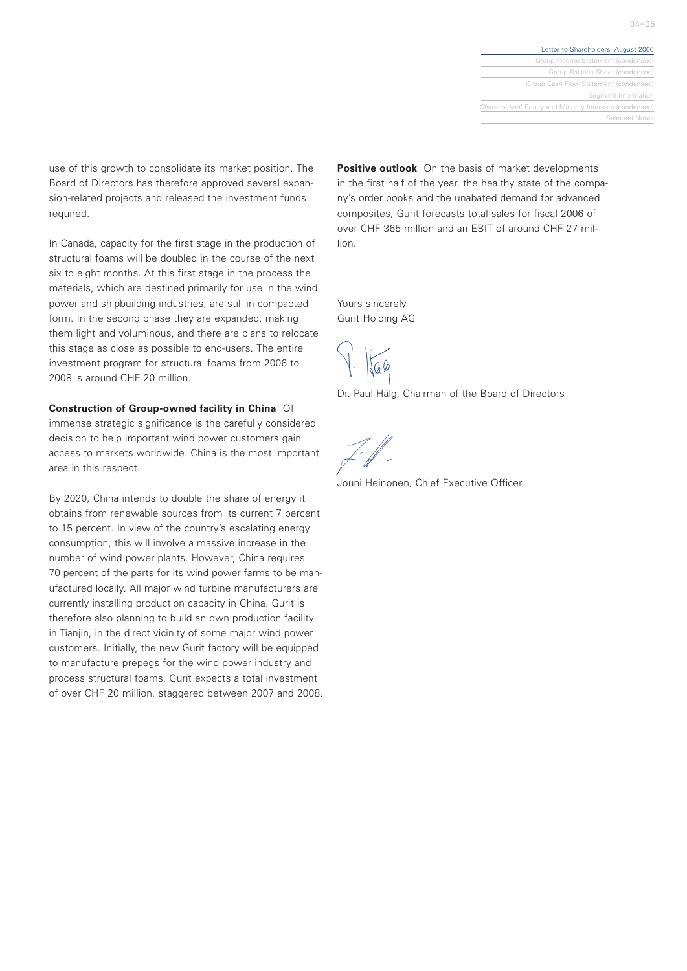

use of this growth to consolidate its market position. The Board of Directors has therefore approved several expansion-related projects and released the investment funds required.

In Canada, capacity for the first stage in the production of structural foams will be doubled in the course of the next six to eight months. At this first stage in the process the materials, which are destined primarily for use in the wind power and shipbuilding industries, are still in compacted form. In the second phase they are expanded, making them light and voluminous, and there are plans to relocate this stage as close as possible to end-users. The entire investment program for structural foams from 2006 to 2008 is around CHF 20 million.

**Construction of Group-owned facility in China** Of immense strategic significance is the carefully considered decision to help important wind power customers gain access to markets worldwide. China is the most important area in this respect.

By 2020, China intends to double the share of energy it obtains from renewable sources from its current 7 percent to 15 percent. In view of the country's escalating energy consumption, this will involve a massive increase in the number of wind power plants. However, China requires 70 percent of the parts for its wind power farms to be manufactured locally. All major wind turbine manufacturers are currently installing production capacity in China. Gurit is therefore also planning to build an own production facility in Tianjin, in the direct vicinity of some major wind power customers. Initially, the new Gurit factory will be equipped to manufacture prepegs for the wind power industry and process structural foams. Gurit expects a total investment of over CHF 20 million, staggered between 2007 and 2008.

**Positive outlook** On the basis of market developments in the first half of the year, the healthy state of the company's order books and the unabated demand for advanced composites, Gurit forecasts total sales for fiscal 2006 of over CHF 365 million and an EBIT of around CHF 27 million.

Yours sincerely Gurit Holding AG

Dr. Paul Hälg, Chairman of the Board of Directors

Jouni Heinonen, Chief Executive Officer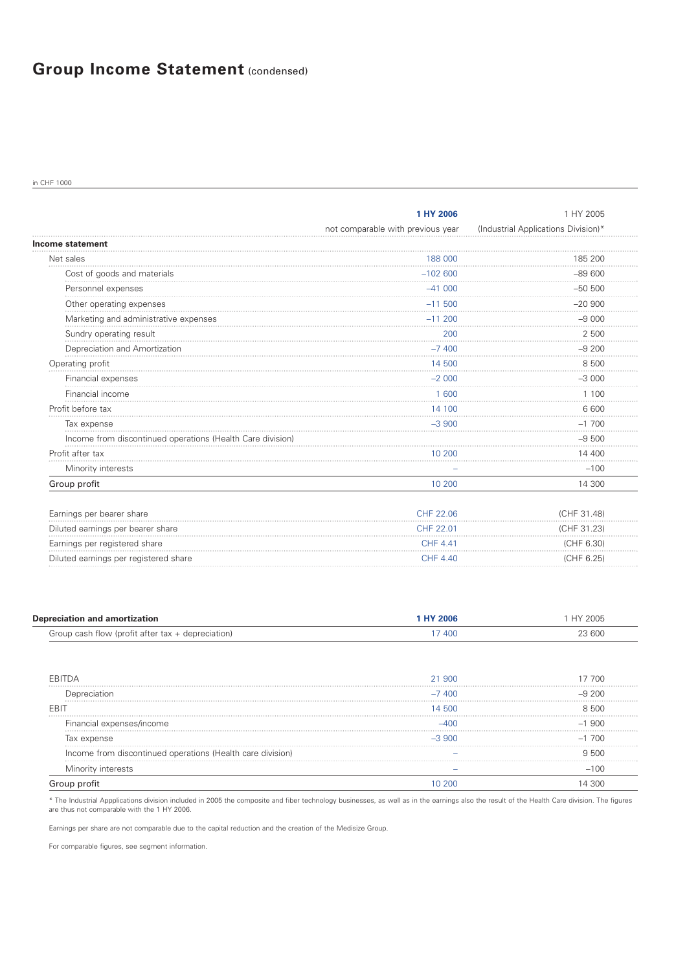## **Group Income Statement (condensed)**

in CHF 1000

|                                                            | 1 HY 2006                         | 1 HY 2005                           |
|------------------------------------------------------------|-----------------------------------|-------------------------------------|
|                                                            | not comparable with previous year | (Industrial Applications Division)* |
| Income statement                                           |                                   |                                     |
| Net sales                                                  | 188 000                           | 185 200                             |
| Cost of goods and materials                                | $-102600$                         | $-89600$                            |
| Personnel expenses                                         | $-41000$                          | $-50500$                            |
| Other operating expenses                                   | $-11500$                          | $-20900$                            |
|                                                            |                                   | $-9000$                             |
| Sundry operating result                                    | 200                               | 2 500                               |
| Depreciation and Amortization                              | $-7400$                           | $-9200$                             |
| Operating profit                                           | 14 500                            | 8 500                               |
| Financial expenses                                         | $-2000$                           | $-3000$                             |
| Financial income                                           | 1 600                             | 1 1 0 0                             |
| Profit before tax                                          | 14 100                            | 6 600                               |
| Tax expense                                                | $-3900$                           | $-1700$                             |
| Income from discontinued operations (Health Care division) |                                   | $-9500$                             |
| Profit after tax                                           | 10 200                            | 14 400                              |
| Minority interests                                         |                                   | $-100$                              |
| Group profit                                               | 10 200                            | 14 300                              |
| Earnings per bearer share                                  | CHF 22.06                         | (CHF 31.48)                         |
| Diluted earnings per bearer share                          | CHF 22.01                         | (CHF 31.23)                         |
| Earnings per registered share                              | CHF 4.41                          | (CHF 6.30)                          |
| Diluted earnings per registered share                      | CHF 4.40                          | (CHF 6.25)                          |

| <b>Depreciation and amortization</b>                | <b>HY 2006</b> | HY 2005 |
|-----------------------------------------------------|----------------|---------|
| Group cash flow (profit after tax $+$ depreciation) | 7 400          | 23 600  |

| FRI                                                        | 21,900   | 7 700    |
|------------------------------------------------------------|----------|----------|
| <b>Depreciation</b>                                        | $-7,400$ | $-9.200$ |
| FRI <sup>-</sup>                                           | 14 500   | 8500     |
| Financial expenses/income                                  |          | $-1.900$ |
| lax expense                                                | $-3.900$ | $-1,700$ |
| Income from discontinued operations (Health care division) |          | 9.500    |
| Minority interests                                         |          | –100     |
|                                                            |          |          |

\* The Industrial Appplications division included in 2005 the composite and fiber technology businesses, as well as in the earnings also the result of the Health Care division. The figures<br>are thus not comparable with the 1

Earnings per share are not comparable due to the capital reduction and the creation of the Medisize Group.

For comparable figures, see segment information.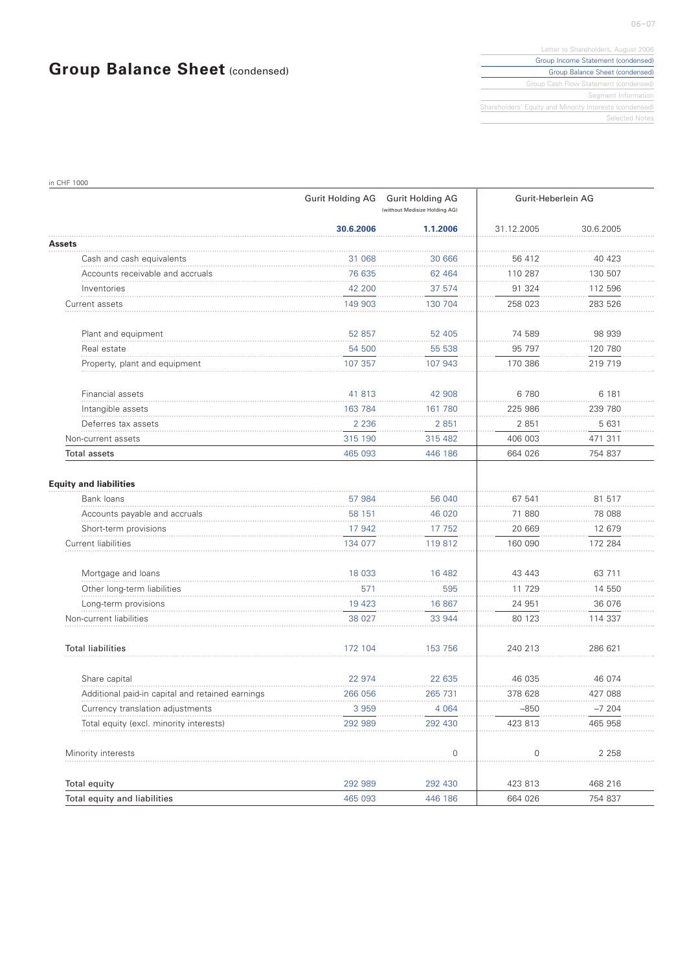## **Group Balance Sheet (condensed)**

Letter to Shareholders, August 2006 Group Income Statement (condensed) Group Balance Sheet (condensed) Group Cash Flow Statement (condensed) Segment Information Shareholders' Equity and Minority Interests (condensed)

Selected Notes

in CHF 1000

|                                                  | Gurit Holding AG Gurit Holding AG<br>(without Medisize Holding AG) |                  | Gurit-Heberlein AG |                  |
|--------------------------------------------------|--------------------------------------------------------------------|------------------|--------------------|------------------|
|                                                  | 30.6.2006                                                          | 1.1.2006         | 31.12.2005         | 30.6.2005        |
| Assets                                           |                                                                    |                  |                    |                  |
| Cash and cash equivalents                        | 31 068                                                             | 30 666           | 56 412             | 40 423           |
| Accounts receivable and accruals                 | 76 635                                                             | 62 4 64          | 110 287            | 130 507          |
| Inventories                                      | 42 200                                                             | 37 574           | 91 324             | 112 596          |
| Current assets                                   | 149 903                                                            | 130 704          | 258 023            | 283 526          |
| Plant and equipment                              | 52 857                                                             | 52 405           | 74 589             | 98 939           |
| Real estate                                      | 54 500                                                             | 55 538           | 95 797             | 120 780          |
| Property, plant and equipment                    | 107 357                                                            | 107 943          | 170 386            | 219 719          |
| Financial assets                                 | 41 813                                                             | 42 908           | 6780               | 6 1 8 1          |
| Intangible assets                                | 163 784                                                            | 161 780          | 225 986            | 239 780          |
| Deferres tax assets                              | 2 2 3 6                                                            | 2 8 5 1          | 2 8 5 1            | 5 631            |
| Non-current assets                               | 315 190                                                            | 315 482          | 406 003            | 471 311          |
| <b>Total assets</b>                              | 465 093                                                            | 446 186          | 664 026            | 754 837          |
| Bank loans<br>Accounts payable and accruals      | 57 984<br>58 151                                                   | 56 040<br>46 020 | 67 541<br>71 880   | 81 517<br>78 088 |
|                                                  |                                                                    |                  |                    |                  |
| Short-term provisions                            | 17 942                                                             | 17 752           | 20 669             | 12 679           |
| Current liabilities                              | 134 077                                                            | 119812           | 160 090            | 172 284          |
| Mortgage and loans                               | 18 033                                                             | 16 482           | 43 443             | 63 711           |
| Other long-term liabilities                      | 571                                                                | 595              | 11 729             | 14 550           |
| Long-term provisions                             | 19 4 23                                                            | 16 867           | 24 951             | 36 076           |
| Non-current liabilities                          | 38 027                                                             | 33 944           | 80 123             | 114 337          |
| <b>Total liabilities</b>                         | 172 104                                                            | 153 756          | 240 213            | 286 621          |
| Share capital                                    | 22 974                                                             | 22 635           | 46 035             | 46 074           |
| Additional paid-in capital and retained earnings | 266 056                                                            | 265 731          | 378 628            | 427 088          |
| Currency translation adjustments                 | 3 959                                                              | 4 0 6 4          | $-850$             | $-7204$          |
| Total equity (excl. minority interests)          | 292 989                                                            | 292 430          | 423 813            | 465 958          |
| Minority interests                               |                                                                    | $\mathbf 0$      | 0                  | 2 2 5 8          |
| Total equity                                     | 292 989                                                            | 292 430          | 423 813            | 468 216          |
| Total equity and liabilities                     | 465 093                                                            | 446 186          | 664 026            | 754 837          |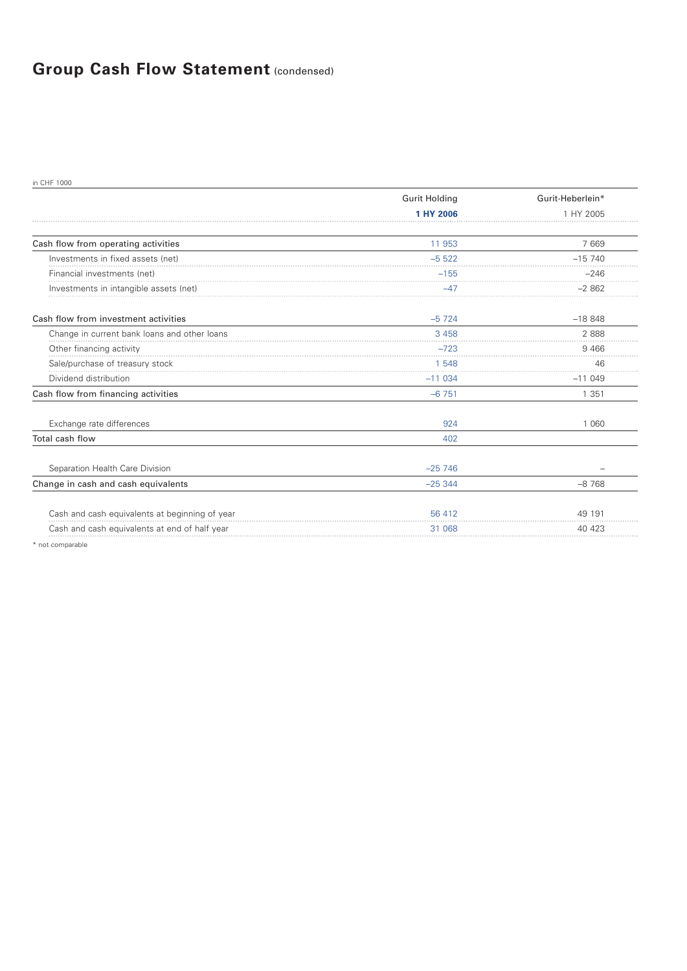# **Group Cash Flow Statement (condensed)**

| in CHF 1000                                    |                      |                  |
|------------------------------------------------|----------------------|------------------|
|                                                | <b>Gurit Holding</b> | Gurit-Heberlein* |
|                                                | 1 HY 2006            | 1 HY 2005        |
| Cash flow from operating activities            | 11 953               | 7669             |
| Investments in fixed assets (net)              | $-5522$              | $-15740$         |
| Financial investments (net)                    | $-155$               | $-246$           |
| Investments in intangible assets (net)         | -47                  | $-2862$          |
| Cash flow from investment activities           | $-5724$              | $-18848$         |
| Change in current bank loans and other loans   | 3 4 5 8              | 2888             |
| Other financing activity                       | $-723$               | 9466             |
| Sale/purchase of treasury stock                | 1 548                | 46               |
| Dividend distribution                          | $-11034$             | $-11049$         |
| Cash flow from financing activities            | $-6751$              | 1 3 5 1          |
| Exchange rate differences                      | 924                  | 1 0 6 0          |
| Total cash flow                                | 402                  |                  |
| Separation Health Care Division                | $-25746$             |                  |
| Change in cash and cash equivalents            | $-25344$             | $-8768$          |
| Cash and cash equivalents at beginning of year | 56 412               | 49 191           |
| Cash and cash equivalents at end of half year  | 31 068               | 40 423           |

\* not comparable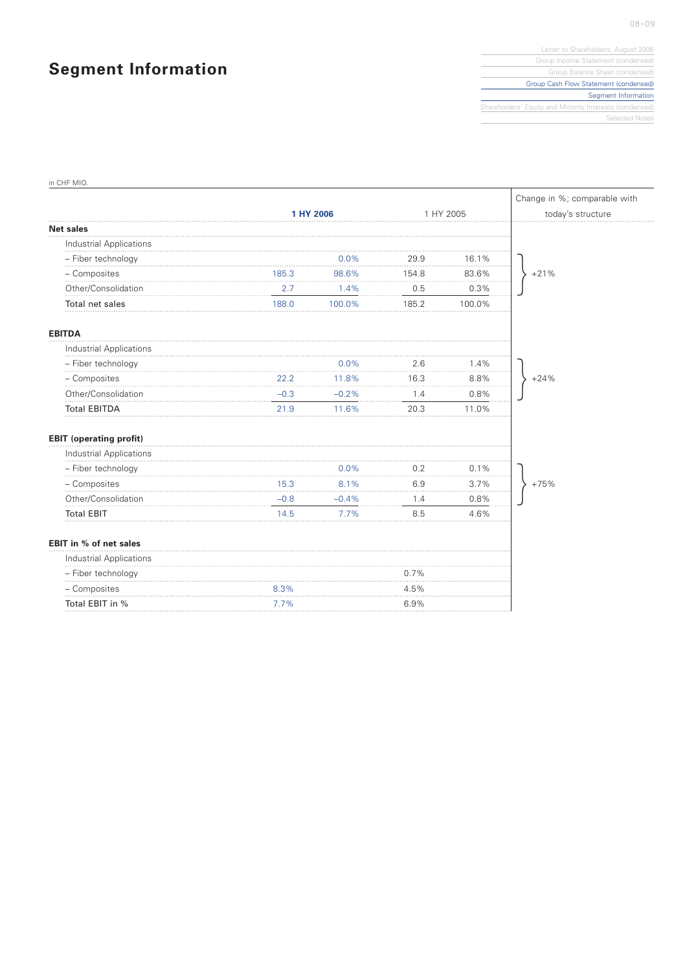# **Segment Information**

Letter to Shareholders, August 2006 Group Income Statement (condensed) Group Balance Sheet (condensed) Group Cash Flow Statement (condensed) Segment Information Shareholders' Equity and Minority Interests (condensed) Selected Notes

| in CHF MIO.                    |           |           |       |           |                              |
|--------------------------------|-----------|-----------|-------|-----------|------------------------------|
|                                |           |           |       |           | Change in %; comparable with |
|                                |           | 1 HY 2006 |       | 1 HY 2005 | today's structure            |
| <b>Net sales</b>               |           |           |       |           |                              |
| Industrial Applications        |           |           |       |           |                              |
| - Fiber technology             |           | 0.0%      | 29.9  | 16.1%     |                              |
| - Composites                   | 185.3     | 98.6%     | 154.8 | 83.6%     | $+21%$                       |
| Other/Consolidation            | 2.7       | 1.4%      | 0.5   | 0.3%      |                              |
| Total net sales                | 188.0     | 100.0%    | 185.2 | 100.0%    |                              |
| <b>EBITDA</b>                  |           |           |       |           |                              |
| Industrial Applications        |           |           |       |           |                              |
| - Fiber technology             |           | 0.0%      | 2.6   | 1.4%      |                              |
| - Composites                   | 22.2<br>. | 11.8%     | 16.3  | 8.8%      | $+24%$                       |
| Other/Consolidation            | $-0.3$    | $-0.2%$   | 1.4   | 0.8%      |                              |
| <b>Total EBITDA</b>            | 21.9      | 11.6%     | 20.3  | 11.0%     |                              |
| <b>EBIT (operating profit)</b> |           |           |       |           |                              |
| Industrial Applications        |           |           |       |           |                              |
| - Fiber technology             |           | 0.0%      | 0.2   | 0.1%      |                              |
| - Composites                   | 15.3      | 8.1%      | 6.9   | 3.7%      | $+75%$                       |
| Other/Consolidation            | $-0.8$    | $-0.4%$   | 1.4   | 0.8%      |                              |
| <b>Total EBIT</b>              | 14.5      | 7.7%      | 8.5   | 4.6%      |                              |
| EBIT in % of net sales         |           |           |       |           |                              |
| Industrial Applications        |           |           |       |           |                              |
| - Fiber technology             |           |           | 0.7%  |           |                              |
| - Composites                   | 8.3%      |           | 4.5%  |           |                              |
| Total EBIT in %                | 7.7%      |           | 6.9%  |           |                              |
|                                |           |           |       |           |                              |

08–09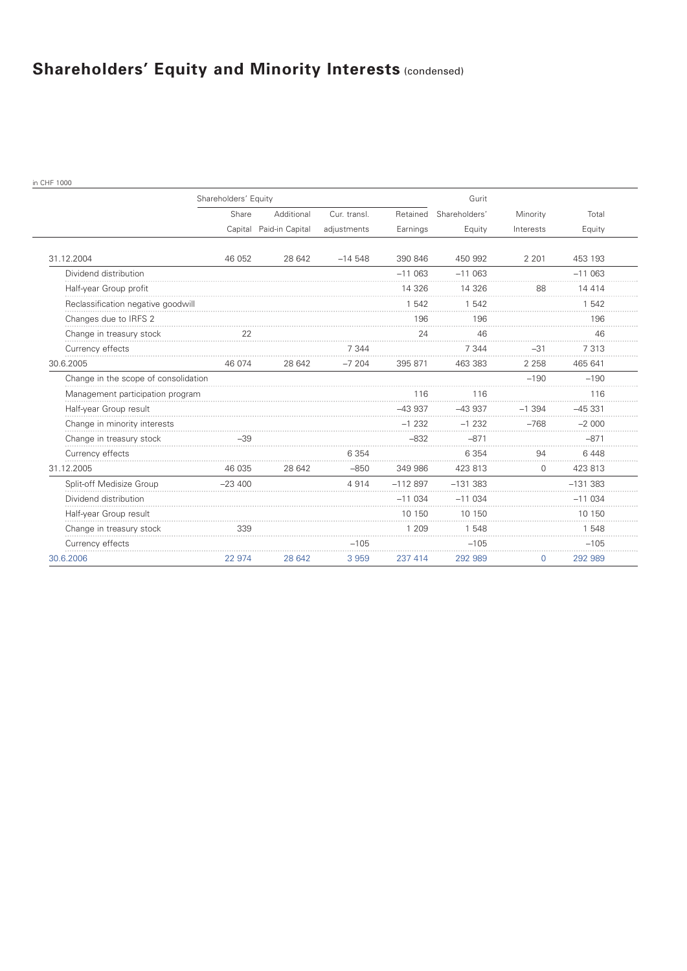# Shareholders' Equity and Minority Interests (condensed)

in CHF 1000

| Shareholders' Equity                 |          |                         | Gurit        |           |               |           |            |
|--------------------------------------|----------|-------------------------|--------------|-----------|---------------|-----------|------------|
|                                      | Share    | Additional              | Cur. transl. | Retained  | Shareholders' | Minority  | Total      |
|                                      |          | Capital Paid-in Capital | adjustments  | Earnings  | Equity        | Interests | Equity     |
|                                      |          |                         |              |           |               |           |            |
| 31.12.2004                           | 46 052   | 28 642                  | $-14548$     | 390 846   | 450 992       | 2 2 0 1   | 453 193    |
| Dividend distribution                |          |                         |              | $-11063$  | $-11063$      |           | $-11063$   |
| Half-year Group profit               |          |                         |              | 14 3 26   | 14 326        | 88        | 14 414     |
| Reclassification negative goodwill   |          |                         |              | 1 542     | 1 542         |           | 1 542      |
| Changes due to IRFS 2                |          |                         |              | 196       | 196           |           | 196        |
| Change in treasury stock             | 22       |                         |              | 24        | 46            |           | 46         |
| Currency effects                     |          |                         | 7 3 4 4      |           | 7 344         | -31       | 7 3 1 3    |
| 30.6.2005                            | 46 074   | 28 642                  | $-7204$      | 395 871   | 463 383       | 2 2 5 8   | 465 641    |
| Change in the scope of consolidation |          |                         |              |           |               | $-190$    | $-190$     |
| Management participation program     |          |                         |              | 116       | 116           |           | 116        |
| Half-year Group result               |          |                         |              | $-43937$  | $-43937$      | -1 394    | $-45331$   |
| Change in minority interests         |          |                         |              | $-1232$   | $-1232$       | -768      | $-2000$    |
| Change in treasury stock             | $-39$    |                         |              | $-832$    | $-871$        |           | $-871$     |
| Currency effects                     |          |                         | 6 3 5 4      |           | 6 3 5 4       | 94        | 6448       |
| 31.12.2005                           | 46 035   | 28 642                  | $-850$       | 349 986   | 423 813       | $\Omega$  | 423 813    |
| Split-off Medisize Group             | $-23400$ |                         | 4 9 1 4      | $-112897$ | $-131383$     |           | $-131.383$ |
| Dividend distribution                |          |                         |              | $-11034$  | $-11034$      |           | $-11034$   |
| Half-year Group result               |          |                         |              | 10 150    | 10 150        |           | 10 150     |
| Change in treasury stock             | 339      |                         |              | 1 209     | 1 548         |           | 1 548      |
| Currency effects                     |          |                         | $-105$       |           | $-105$        |           | $-105$     |
| 30.6.2006                            | 22 974   | 28 642                  | 3 9 5 9      | 237 414   | 292 989       | 0         | 292 989    |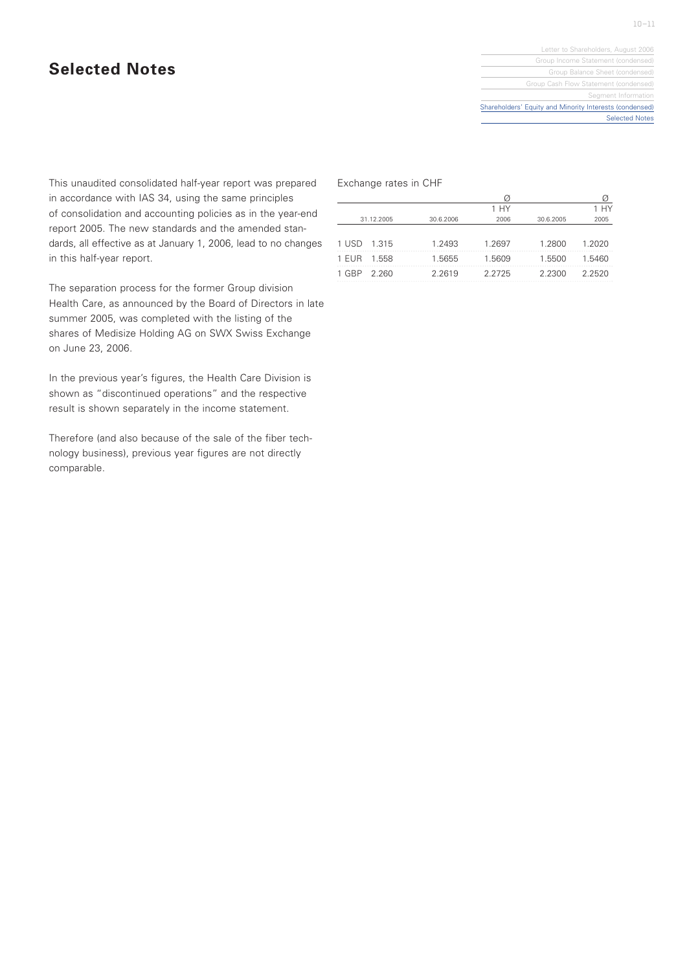### **Selected Notes**

Letter to Shareholders, August 2006 Group Income Statement (condensed) Group Balance Sheet (condensed) Group Cash Flow Statement (condensed) Segment Information Shareholders' Equity and Minority Interests (condensed) **Selected Notes** 

This unaudited consolidated half-year report was prepared in accordance with IAS 34, using the same principles of consolidation and accounting policies as in the year-end report 2005. The new standards and the amended standards, all effective as at January 1, 2006, lead to no changes in this half-year report.

The separation process for the former Group division Health Care, as announced by the Board of Directors in late summer 2005, was completed with the listing of the shares of Medisize Holding AG on SWX Swiss Exchange on June 23, 2006.

In the previous year's figures, the Health Care Division is shown as "discontinued operations" and the respective result is shown separately in the income statement.

Therefore (and also because of the sale of the fiber technology business), previous year figures are not directly comparable.

Exchange rates in CHF

|       |            |           | 1 HY   |           |        |
|-------|------------|-----------|--------|-----------|--------|
|       | 31.12.2005 | 30.6.2006 | 2006   | 30.6.2005 | 2005   |
|       |            |           |        |           |        |
| 1 USD | 1.315      | 1.2493    | 1.2697 | 1.2800    | 1.2020 |
| 1 EUR | 1.558      | 1.5655    | 1.5609 | 1.5500    | 1.5460 |
| 1 GBP | 2.260      | 2.2619    | 2.2725 | 2.2300    | 2.2520 |